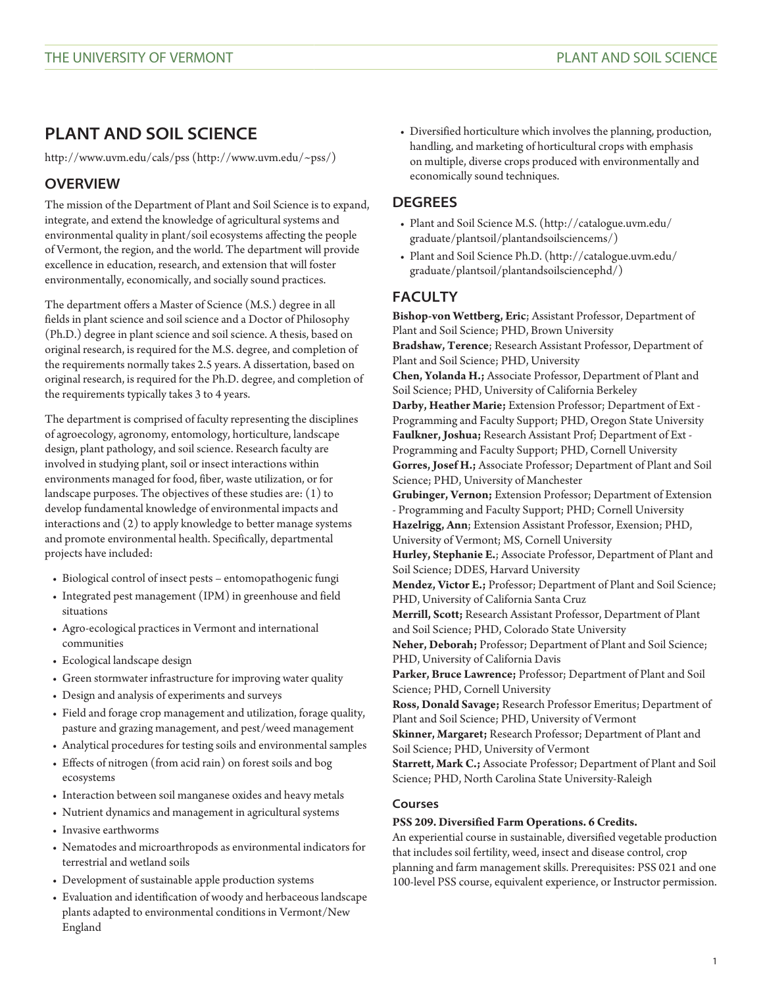# **PLANT AND SOIL SCIENCE**

[http://www.uvm.edu/cals/pss](http://www.uvm.edu/~pss/) [\(http://www.uvm.edu/~pss/\)](http://www.uvm.edu/~pss/)

# **OVERVIEW**

The mission of the Department of Plant and Soil Science is to expand, integrate, and extend the knowledge of agricultural systems and environmental quality in plant/soil ecosystems affecting the people of Vermont, the region, and the world. The department will provide excellence in education, research, and extension that will foster environmentally, economically, and socially sound practices.

The department offers a Master of Science (M.S.) degree in all fields in plant science and soil science and a Doctor of Philosophy (Ph.D.) degree in plant science and soil science. A thesis, based on original research, is required for the M.S. degree, and completion of the requirements normally takes 2.5 years. A dissertation, based on original research, is required for the Ph.D. degree, and completion of the requirements typically takes 3 to 4 years.

The department is comprised of faculty representing the disciplines of agroecology, agronomy, entomology, horticulture, landscape design, plant pathology, and soil science. Research faculty are involved in studying plant, soil or insect interactions within environments managed for food, fiber, waste utilization, or for landscape purposes. The objectives of these studies are: (1) to develop fundamental knowledge of environmental impacts and interactions and (2) to apply knowledge to better manage systems and promote environmental health. Specifically, departmental projects have included:

- Biological control of insect pests entomopathogenic fungi
- Integrated pest management (IPM) in greenhouse and field situations
- Agro-ecological practices in Vermont and international communities
- Ecological landscape design
- Green stormwater infrastructure for improving water quality
- Design and analysis of experiments and surveys
- Field and forage crop management and utilization, forage quality, pasture and grazing management, and pest/weed management
- Analytical procedures for testing soils and environmental samples
- Effects of nitrogen (from acid rain) on forest soils and bog ecosystems
- Interaction between soil manganese oxides and heavy metals
- Nutrient dynamics and management in agricultural systems
- Invasive earthworms
- Nematodes and microarthropods as environmental indicators for terrestrial and wetland soils
- Development of sustainable apple production systems
- Evaluation and identification of woody and herbaceous landscape plants adapted to environmental conditions in Vermont/New England

• Diversified horticulture which involves the planning, production, handling, and marketing of horticultural crops with emphasis on multiple, diverse crops produced with environmentally and economically sound techniques.

# **DEGREES**

- [Plant and Soil Science M.S.](http://catalogue.uvm.edu/graduate/plantsoil/plantandsoilsciencems/) ([http://catalogue.uvm.edu/](http://catalogue.uvm.edu/graduate/plantsoil/plantandsoilsciencems/) [graduate/plantsoil/plantandsoilsciencems/](http://catalogue.uvm.edu/graduate/plantsoil/plantandsoilsciencems/))
- [Plant and Soil Science Ph.D.](http://catalogue.uvm.edu/graduate/plantsoil/plantandsoilsciencephd/) [\(http://catalogue.uvm.edu/](http://catalogue.uvm.edu/graduate/plantsoil/plantandsoilsciencephd/) [graduate/plantsoil/plantandsoilsciencephd/](http://catalogue.uvm.edu/graduate/plantsoil/plantandsoilsciencephd/))

# **FACULTY**

**Bishop-von Wettberg, Eric**; Assistant Professor, Department of Plant and Soil Science; PHD, Brown University **Bradshaw, Terence**; Research Assistant Professor, Department of Plant and Soil Science; PHD, University **Chen, Yolanda H.;** Associate Professor, Department of Plant and Soil Science; PHD, University of California Berkeley **Darby, Heather Marie;** Extension Professor; Department of Ext - Programming and Faculty Support; PHD, Oregon State University **Faulkner, Joshua;** Research Assistant Prof; Department of Ext - Programming and Faculty Support; PHD, Cornell University **Gorres, Josef H.;** Associate Professor; Department of Plant and Soil Science; PHD, University of Manchester **Grubinger, Vernon;** Extension Professor; Department of Extension - Programming and Faculty Support; PHD; Cornell University **Hazelrigg, Ann**; Extension Assistant Professor, Exension; PHD, University of Vermont; MS, Cornell University **Hurley, Stephanie E.**; Associate Professor, Department of Plant and Soil Science; DDES, Harvard University **Mendez, Victor E.;** Professor; Department of Plant and Soil Science; PHD, University of California Santa Cruz **Merrill, Scott;** Research Assistant Professor, Department of Plant and Soil Science; PHD, Colorado State University **Neher, Deborah;** Professor; Department of Plant and Soil Science; PHD, University of California Davis **Parker, Bruce Lawrence;** Professor; Department of Plant and Soil Science; PHD, Cornell University **Ross, Donald Savage;** Research Professor Emeritus; Department of Plant and Soil Science; PHD, University of Vermont **Skinner, Margaret;** Research Professor; Department of Plant and Soil Science; PHD, University of Vermont **Starrett, Mark C.;** Associate Professor; Department of Plant and Soil Science; PHD, North Carolina State University-Raleigh **Courses**

# **PSS 209. Diversified Farm Operations. 6 Credits.**

An experiential course in sustainable, diversified vegetable production that includes soil fertility, weed, insect and disease control, crop planning and farm management skills. Prerequisites: [PSS 021](/search/?P=PSS%20021) and one 100-level PSS course, equivalent experience, or Instructor permission.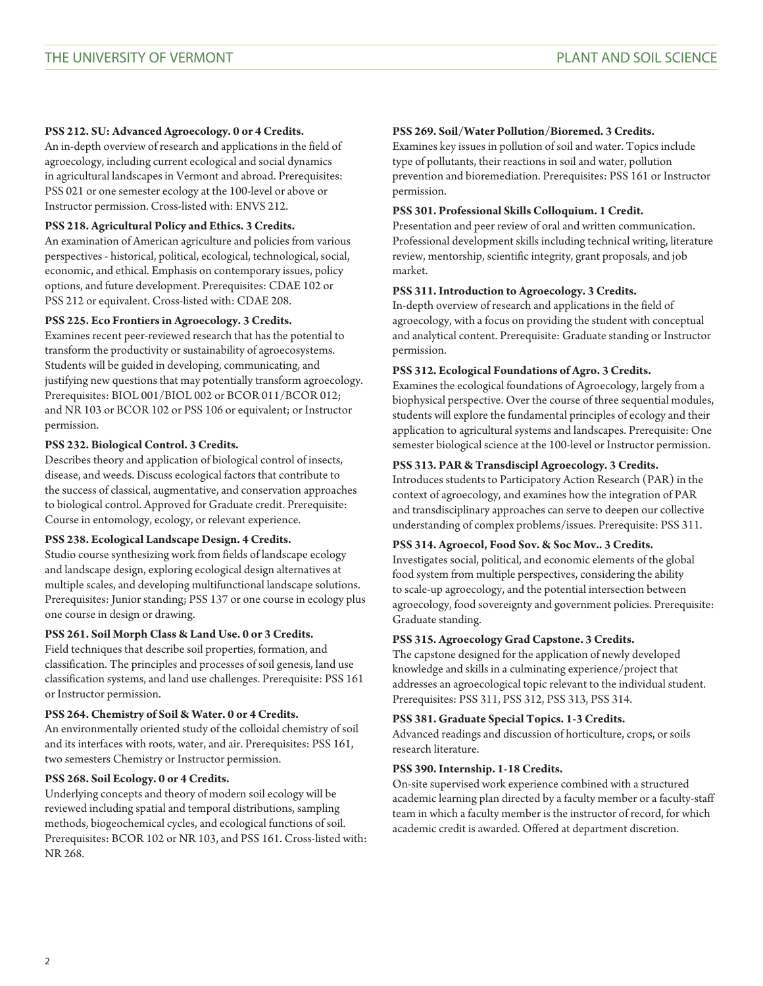#### **PSS 212. SU: Advanced Agroecology. 0 or 4 Credits.**

An in-depth overview of research and applications in the field of agroecology, including current ecological and social dynamics in agricultural landscapes in Vermont and abroad. Prerequisites: [PSS 021](/search/?P=PSS%20021) or one semester ecology at the 100-level or above or Instructor permission. Cross-listed with: [ENVS 212](/search/?P=ENVS%20212).

#### **PSS 218. Agricultural Policy and Ethics. 3 Credits.**

An examination of American agriculture and policies from various perspectives - historical, political, ecological, technological, social, economic, and ethical. Emphasis on contemporary issues, policy options, and future development. Prerequisites: [CDAE 102](/search/?P=CDAE%20102) or [PSS 212](/search/?P=PSS%20212) or equivalent. Cross-listed with: [CDAE 208](/search/?P=CDAE%20208).

#### **PSS 225. Eco Frontiers in Agroecology. 3 Credits.**

Examines recent peer-reviewed research that has the potential to transform the productivity or sustainability of agroecosystems. Students will be guided in developing, communicating, and justifying new questions that may potentially transform agroecology. Prerequisites: [BIOL 001/](/search/?P=BIOL%20001)[BIOL 002](/search/?P=BIOL%20002) or [BCOR 011](/search/?P=BCOR%20011)/[BCOR 012](/search/?P=BCOR%20012); and [NR 103](/search/?P=NR%20103) or [BCOR 102](/search/?P=BCOR%20102) or [PSS 106](/search/?P=PSS%20106) or equivalent; or Instructor permission.

#### **PSS 232. Biological Control. 3 Credits.**

Describes theory and application of biological control of insects, disease, and weeds. Discuss ecological factors that contribute to the success of classical, augmentative, and conservation approaches to biological control. Approved for Graduate credit. Prerequisite: Course in entomology, ecology, or relevant experience.

#### **PSS 238. Ecological Landscape Design. 4 Credits.**

Studio course synthesizing work from fields of landscape ecology and landscape design, exploring ecological design alternatives at multiple scales, and developing multifunctional landscape solutions. Prerequisites: Junior standing; [PSS 137](/search/?P=PSS%20137) or one course in ecology plus one course in design or drawing.

# **PSS 261. Soil Morph Class & Land Use. 0 or 3 Credits.**

Field techniques that describe soil properties, formation, and classification. The principles and processes of soil genesis, land use classification systems, and land use challenges. Prerequisite: [PSS 161](/search/?P=PSS%20161) or Instructor permission.

#### **PSS 264. Chemistry of Soil & Water. 0 or 4 Credits.**

An environmentally oriented study of the colloidal chemistry of soil and its interfaces with roots, water, and air. Prerequisites: [PSS 161,](/search/?P=PSS%20161) two semesters Chemistry or Instructor permission.

#### **PSS 268. Soil Ecology. 0 or 4 Credits.**

Underlying concepts and theory of modern soil ecology will be reviewed including spatial and temporal distributions, sampling methods, biogeochemical cycles, and ecological functions of soil. Prerequisites: [BCOR 102](/search/?P=BCOR%20102) or [NR 103](/search/?P=NR%20103), and [PSS 161](/search/?P=PSS%20161). Cross-listed with: [NR 268.](/search/?P=NR%20268)

#### **PSS 269. Soil/Water Pollution/Bioremed. 3 Credits.**

Examines key issues in pollution of soil and water. Topics include type of pollutants, their reactions in soil and water, pollution prevention and bioremediation. Prerequisites: [PSS 161](/search/?P=PSS%20161) or Instructor permission.

#### **PSS 301. Professional Skills Colloquium. 1 Credit.**

Presentation and peer review of oral and written communication. Professional development skills including technical writing, literature review, mentorship, scientific integrity, grant proposals, and job market.

#### **PSS 311. Introduction to Agroecology. 3 Credits.**

In-depth overview of research and applications in the field of agroecology, with a focus on providing the student with conceptual and analytical content. Prerequisite: Graduate standing or Instructor permission.

#### **PSS 312. Ecological Foundations of Agro. 3 Credits.**

Examines the ecological foundations of Agroecology, largely from a biophysical perspective. Over the course of three sequential modules, students will explore the fundamental principles of ecology and their application to agricultural systems and landscapes. Prerequisite: One semester biological science at the 100-level or Instructor permission.

#### **PSS 313. PAR & Transdiscipl Agroecology. 3 Credits.**

Introduces students to Participatory Action Research (PAR) in the context of agroecology, and examines how the integration of PAR and transdisciplinary approaches can serve to deepen our collective understanding of complex problems/issues. Prerequisite: [PSS 311.](/search/?P=PSS%20311)

# **PSS 314. Agroecol, Food Sov. & Soc Mov.. 3 Credits.**

Investigates social, political, and economic elements of the global food system from multiple perspectives, considering the ability to scale-up agroecology, and the potential intersection between agroecology, food sovereignty and government policies. Prerequisite: Graduate standing.

# **PSS 315. Agroecology Grad Capstone. 3 Credits.**

The capstone designed for the application of newly developed knowledge and skills in a culminating experience/project that addresses an agroecological topic relevant to the individual student. Prerequisites: [PSS 311,](/search/?P=PSS%20311) [PSS 312](/search/?P=PSS%20312), [PSS 313](/search/?P=PSS%20313), [PSS 314.](/search/?P=PSS%20314)

#### **PSS 381. Graduate Special Topics. 1-3 Credits.**

Advanced readings and discussion of horticulture, crops, or soils research literature.

#### **PSS 390. Internship. 1-18 Credits.**

On-site supervised work experience combined with a structured academic learning plan directed by a faculty member or a faculty-staff team in which a faculty member is the instructor of record, for which academic credit is awarded. Offered at department discretion.